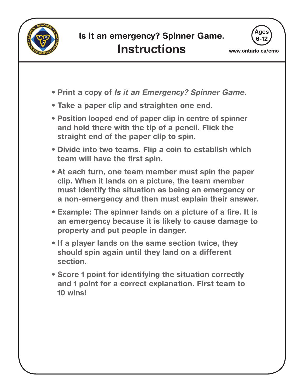



**www.ontario.ca/emo**

- **Print a copy of Is it an Emergency? Spinner Game.**
- **Take a paper clip and straighten one end.**
- **Position looped end of paper clip in centre of spinner and hold there with the tip of a pencil. Flick the straight end of the paper clip to spin.**
- **Divide into two teams. Flip a coin to establish which team will have the first spin.**
- **At each turn, one team member must spin the paper clip. When it lands on a picture, the team member must identify the situation as being an emergency or a non-emergency and then must explain their answer.**
- **Example: The spinner lands on a picture of a fire. It is an emergency because it is likely to cause damage to property and put people in danger.**
- **If a player lands on the same section twice, they should spin again until they land on a different section.**
- **Score 1 point for identifying the situation correctly and 1 point for a correct explanation. First team to 10 wins!**